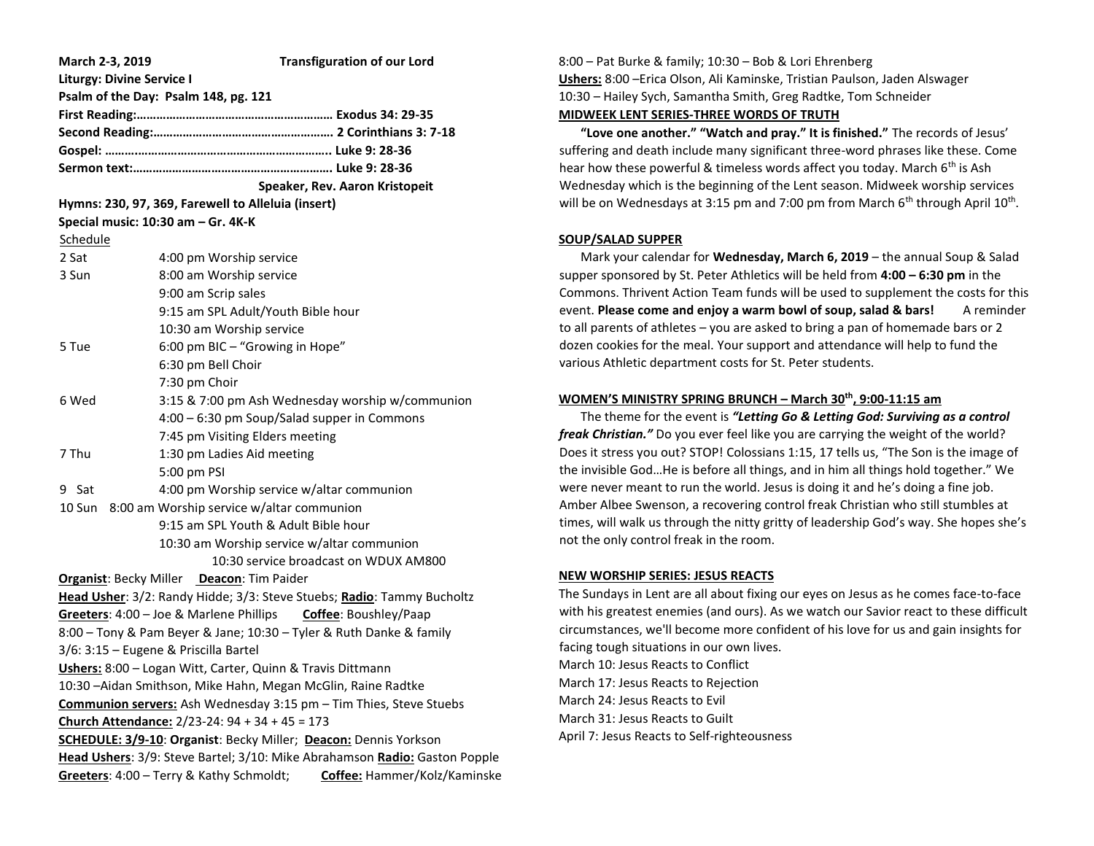| March 2-3, 2019                                                            | <b>Transfiguration of our Lord</b>                                     |
|----------------------------------------------------------------------------|------------------------------------------------------------------------|
| <b>Liturgy: Divine Service I</b>                                           |                                                                        |
|                                                                            | Psalm of the Day: Psalm 148, pg. 121                                   |
|                                                                            |                                                                        |
|                                                                            |                                                                        |
|                                                                            |                                                                        |
|                                                                            |                                                                        |
|                                                                            | Speaker, Rev. Aaron Kristopeit                                         |
| Hymns: 230, 97, 369, Farewell to Alleluia (insert)                         |                                                                        |
|                                                                            | Special music: 10:30 am - Gr. 4K-K                                     |
| Schedule                                                                   |                                                                        |
| 2 Sat                                                                      | 4:00 pm Worship service                                                |
| 3 Sun                                                                      | 8:00 am Worship service                                                |
|                                                                            | 9:00 am Scrip sales                                                    |
|                                                                            | 9:15 am SPL Adult/Youth Bible hour                                     |
|                                                                            | 10:30 am Worship service                                               |
| 5 Tue                                                                      | 6:00 pm BIC - "Growing in Hope"                                        |
|                                                                            | 6:30 pm Bell Choir                                                     |
|                                                                            | 7:30 pm Choir                                                          |
| 6 Wed                                                                      | 3:15 & 7:00 pm Ash Wednesday worship w/communion                       |
|                                                                            | 4:00 - 6:30 pm Soup/Salad supper in Commons                            |
|                                                                            | 7:45 pm Visiting Elders meeting                                        |
| 7 Thu                                                                      | 1:30 pm Ladies Aid meeting                                             |
|                                                                            | 5:00 pm PSI                                                            |
| 9 Sat                                                                      | 4:00 pm Worship service w/altar communion                              |
| 8:00 am Worship service w/altar communion<br>10 Sun                        |                                                                        |
|                                                                            | 9:15 am SPL Youth & Adult Bible hour                                   |
|                                                                            | 10:30 am Worship service w/altar communion                             |
|                                                                            | 10:30 service broadcast on WDUX AM800                                  |
| Organist: Becky Miller Deacon: Tim Paider                                  |                                                                        |
|                                                                            | Head Usher: 3/2: Randy Hidde; 3/3: Steve Stuebs; Radio: Tammy Bucholtz |
|                                                                            | Greeters: 4:00 - Joe & Marlene Phillips Coffee: Boushley/Paap          |
|                                                                            | 8:00 - Tony & Pam Beyer & Jane; 10:30 - Tyler & Ruth Danke & family    |
|                                                                            | 3/6: 3:15 - Eugene & Priscilla Bartel                                  |
| Ushers: 8:00 - Logan Witt, Carter, Quinn & Travis Dittmann                 |                                                                        |
| 10:30 - Aidan Smithson, Mike Hahn, Megan McGlin, Raine Radtke              |                                                                        |
| Communion servers: Ash Wednesday 3:15 pm - Tim Thies, Steve Stuebs         |                                                                        |
| Church Attendance: 2/23-24: 94 + 34 + 45 = 173                             |                                                                        |
| SCHEDULE: 3/9-10: Organist: Becky Miller; Deacon: Dennis Yorkson           |                                                                        |
| Head Ushers: 3/9: Steve Bartel; 3/10: Mike Abrahamson Radio: Gaston Popple |                                                                        |
| Greeters: 4:00 - Terry & Kathy Schmoldt;<br>Coffee: Hammer/Kolz/Kaminske   |                                                                        |

# 8:00 – Pat Burke & family; 10:30 – Bob & Lori Ehrenberg **Ushers:** 8:00 –Erica Olson, Ali Kaminske, Tristian Paulson, Jaden Alswager 10:30 – Hailey Sych, Samantha Smith, Greg Radtke, Tom Schneider **MIDWEEK LENT SERIES-THREE WORDS OF TRUTH**

 **"Love one another." "Watch and pray." It is finished."** The records of Jesus' suffering and death include many significant three-word phrases like these. Come hear how these powerful & timeless words affect you today. March 6<sup>th</sup> is Ash Wednesday which is the beginning of the Lent season. Midweek worship services will be on Wednesdays at 3:15 pm and 7:00 pm from March 6<sup>th</sup> through April 10<sup>th</sup>.

## **SOUP/SALAD SUPPER**

 Mark your calendar for **Wednesday, March 6, 2019** – the annual Soup & Salad supper sponsored by St. Peter Athletics will be held from **4:00 – 6:30 pm** in the Commons. Thrivent Action Team funds will be used to supplement the costs for this event. **Please come and enjoy a warm bowl of soup, salad & bars!** A reminder to all parents of athletes – you are asked to bring a pan of homemade bars or 2 dozen cookies for the meal. Your support and attendance will help to fund the various Athletic department costs for St. Peter students.

# **WOMEN'S MINISTRY SPRING BRUNCH – March 30th , 9:00-11:15 am**

 The theme for the event is *"Letting Go & Letting God: Surviving as a control freak Christian."* Do you ever feel like you are carrying the weight of the world? Does it stress you out? STOP! Colossians 1:15, 17 tells us, "The Son is the image of the invisible God…He is before all things, and in him all things hold together." We were never meant to run the world. Jesus is doing it and he's doing a fine job. Amber Albee Swenson, a recovering control freak Christian who still stumbles at times, will walk us through the nitty gritty of leadership God's way. She hopes she's not the only control freak in the room.

# **NEW WORSHIP SERIES: JESUS REACTS**

The Sundays in Lent are all about fixing our eyes on Jesus as he comes face-to-face with his greatest enemies (and ours). As we watch our Savior react to these difficult circumstances, we'll become more confident of his love for us and gain insights for facing tough situations in our own lives. March 10: Jesus Reacts to Conflict March 17: Jesus Reacts to Rejection March 24: Jesus Reacts to Evil March 31: Jesus Reacts to Guilt April 7: Jesus Reacts to Self-righteousness